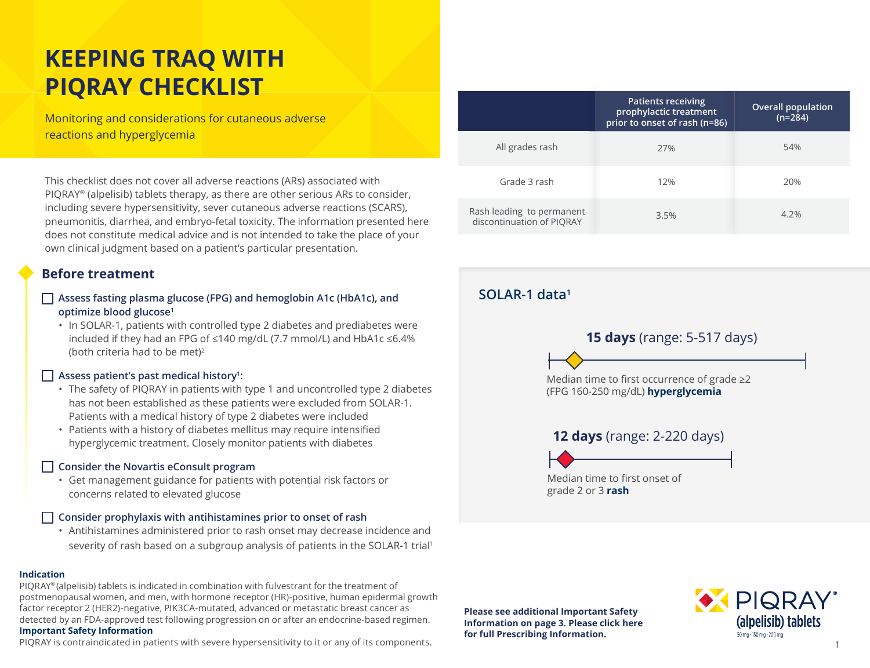# **KEEPING TRAQ WITH PIQRAY CHECKLIST**

Monitoring and considerations for cutaneous adverse reactions and hyperglycemia

This checklist does not cover all adverse reactions (ARs) associated with PIQRAY® (alpelisib) tablets therapy, as there are other serious ARs to consider, including severe hypersensitivity, sever cutaneous adverse reactions (SCARS), pneumonitis, diarrhea, and embryo-fetal toxicity. The information presented here does not constitute medical advice and is not intended to take the place of your own clinical judgment based on a patient's particular presentation.

### **Before treatment**

- **Assess fasting plasma glucose (FPG) and hemoglobin A1c (HbA1c), and optimize blood glucose1**
	- In SOLAR-1, patients with controlled type 2 diabetes and prediabetes were included if they had an FPG of ≤140 mg/dL (7.7 mmol/L) and HbA1c ≤6.4% (both criteria had to be met)<sup>2</sup>

## □ Assess patient's past medical history<sup>1</sup>:

- The safety of PIQRAY in patients with type 1 and uncontrolled type 2 diabetes has not been established as these patients were excluded from SOLAR-1. Patients with a medical history of type 2 diabetes were included
- Patients with a history of diabetes mellitus may require intensified hyperglycemic treatment. Closely monitor patients with diabetes

## **Consider the Novartis eConsult program**  □ ♦

• Get management guidance for patients with potential risk factors or concerns related to elevated glucose

## **Consider prophylaxis with antihistamines prior to onset of rash** □

• Antihistamines administered prior to rash onset may decrease incidence and severity of rash based on a subgroup analysis of patients in the SOLAR-1 trial1

### **Indication**

PIQRAY® (alpelisib) tablets is indicated in combination with fulvestrant for the treatment of postmenopausal women, and men, with hormone receptor (HR)-positive, human epidermal growth factor receptor 2 (HER2)-negative, PIK3CA-mutated, advanced or metastatic breast cancer as detected by an FDA-approved test following progression on or after an endocrine-based regimen. **Important Safety Information**

PIQRAY is contraindicated in patients with severe hypersensitivity to it or any of its components.

|                                                        | <b>Patients receiving</b><br>prophylactic treatment<br>prior to onset of rash (n=86) | <b>Overall population</b><br>$(n=284)$ |
|--------------------------------------------------------|--------------------------------------------------------------------------------------|----------------------------------------|
| All grades rash                                        | 27%                                                                                  | 54%                                    |
| Grade 3 rash                                           | 12%                                                                                  | 20%                                    |
| Rash leading to permanent<br>discontinuation of PIORAY | 3.5%                                                                                 | 4.2%                                   |

## **SOLAR-1 data1**



**Please see additional Important Safety Information on page 3. [Please click here](https://www.novartis.us/sites/www.novartis.us/files/piqray.pdf)  for full Prescribing Information.** 

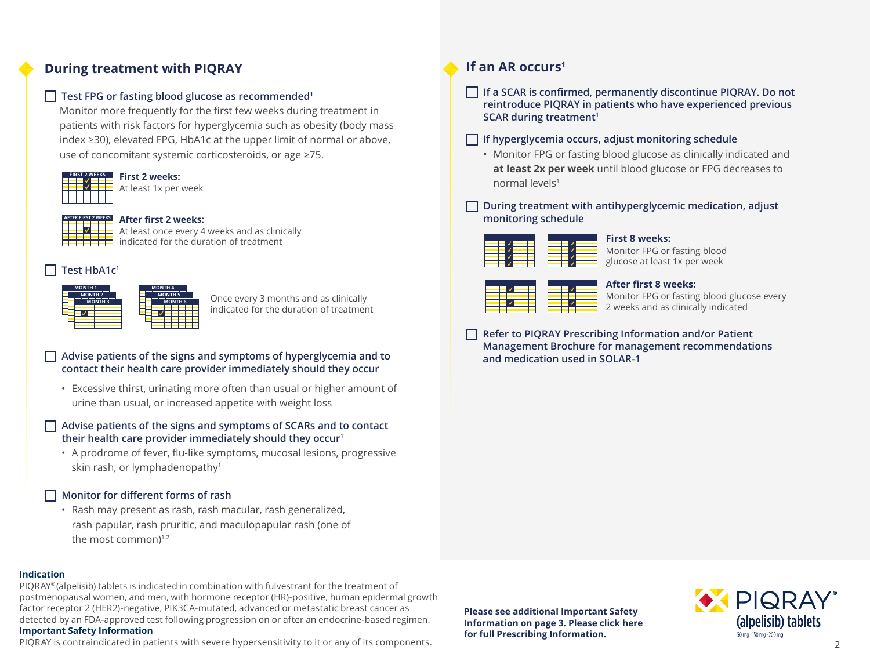## **During treatment with PIQRAY**

## **Test FPG or fasting blood glucose as recommended1** □

Monitor more frequently for the first few weeks during treatment in patients with risk factors for hyperglycemia such as obesity (body mass index ≥30), elevated FPG, HbA1c at the upper limit of normal or above, use of concomitant systemic corticosteroids, or age ≥75.



#### **First 2 weeks:** At least 1x per week



### **After first 2 weeks:**

At least once every 4 weeks and as clinically indicated for the duration of treatment

#### **Test HbA1c1** □



Once every 3 months and as clinically indicated for the duration of treatment

## **contact their health care provider immediately should they occur**

• Excessive thirst, urinating more often than usual or higher amount of urine than usual, or increased appetite with weight loss

### □ Advise patients of the signs and symptoms of SCARs and to contact<br> **U** their boalth care provider immediately should they occur<u>i</u> **their health care provider immediately should they occur1**

• A prodrome of fever, flu-like symptoms, mucosal lesions, progressive skin rash, or lymphadenopathy<sup>1</sup>

## **Monitor for different forms of rash** □

• Rash may present as rash, rash macular, rash generalized, rash papular, rash pruritic, and maculopapular rash (one of the most common)<sup>1,2</sup>

### **Indication**

PIQRAY® (alpelisib) tablets is indicated in combination with fulvestrant for the treatment of postmenopausal women, and men, with hormone receptor (HR)-positive, human epidermal growth factor receptor 2 (HER2)-negative, PIK3CA-mutated, advanced or metastatic breast cancer as detected by an FDA-approved test following progression on or after an endocrine-based regimen. **Important Safety Information**

PIQRAY is contraindicated in patients with severe hypersensitivity to it or any of its components. 2

### **If an AR occurs1**

□ If a SCAR is confirmed, permanently discontinue PIQRAY. Do not **reintroduce PIQRAY in patients who have experienced previous SCAR during treatment1**

## **If hyperglycemia occurs, adjust monitoring schedule** □

• Monitor FPG or fasting blood glucose as clinically indicated and **at least 2x per week** until blood glucose or FPG decreases to normal levels<sup>1</sup>

 **During treatment with antihyperglycemic medication, adjust**  □ **monitoring schedule**



### **First 8 weeks:**

Monitor FPG or fasting blood glucose at least 1x per week



### **After first 8 weeks:**

Monitor FPG or fasting blood glucose every 2 weeks and as clinically indicated

**Refer to PIQRAY Prescribing Information and/or Patient**  □ Refer to Fighter Frescribing information and/of Fatient<br>Management Brochure for management recommendations **and medication used in SOLAR-1**

**Please see additional Important Safety Information on page 3. [Please click here](https://www.novartis.us/sites/www.novartis.us/files/piqray.pdf)  for full Prescribing Information.**